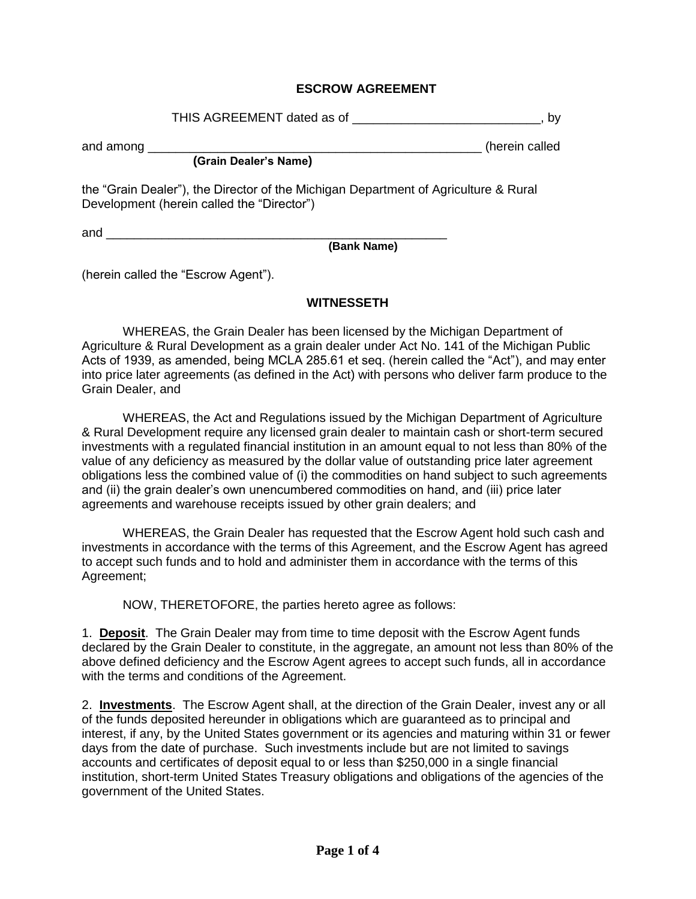## **ESCROW AGREEMENT**

THIS AGREEMENT dated as of \_\_\_\_\_\_\_\_\_\_\_\_\_\_\_\_\_\_\_\_\_\_\_\_\_\_\_\_, by

and among \_\_\_\_\_\_\_\_\_\_\_\_\_\_\_\_\_\_\_\_\_\_\_\_\_\_\_\_\_\_\_\_\_\_\_\_\_\_\_\_\_\_\_\_\_\_\_\_ (herein called

**(Grain Dealer's Name)** 

the "Grain Dealer"), the Director of the Michigan Department of Agriculture & Rural Development (herein called the "Director")

and  $\Box$ 

**(Bank Name)** 

(herein called the "Escrow Agent").

## **WITNESSETH**

WHEREAS, the Grain Dealer has been licensed by the Michigan Department of Agriculture & Rural Development as a grain dealer under Act No. 141 of the Michigan Public Acts of 1939, as amended, being MCLA 285.61 et seq. (herein called the "Act"), and may enter into price later agreements (as defined in the Act) with persons who deliver farm produce to the Grain Dealer, and

WHEREAS, the Act and Regulations issued by the Michigan Department of Agriculture & Rural Development require any licensed grain dealer to maintain cash or short-term secured investments with a regulated financial institution in an amount equal to not less than 80% of the value of any deficiency as measured by the dollar value of outstanding price later agreement obligations less the combined value of (i) the commodities on hand subject to such agreements and (ii) the grain dealer's own unencumbered commodities on hand, and (iii) price later agreements and warehouse receipts issued by other grain dealers; and

WHEREAS, the Grain Dealer has requested that the Escrow Agent hold such cash and investments in accordance with the terms of this Agreement, and the Escrow Agent has agreed to accept such funds and to hold and administer them in accordance with the terms of this Agreement;

NOW, THERETOFORE, the parties hereto agree as follows:

1. **Deposit**. The Grain Dealer may from time to time deposit with the Escrow Agent funds declared by the Grain Dealer to constitute, in the aggregate, an amount not less than 80% of the above defined deficiency and the Escrow Agent agrees to accept such funds, all in accordance with the terms and conditions of the Agreement.

2. **Investments**. The Escrow Agent shall, at the direction of the Grain Dealer, invest any or all of the funds deposited hereunder in obligations which are guaranteed as to principal and interest, if any, by the United States government or its agencies and maturing within 31 or fewer days from the date of purchase. Such investments include but are not limited to savings accounts and certificates of deposit equal to or less than \$250,000 in a single financial institution, short-term United States Treasury obligations and obligations of the agencies of the government of the United States.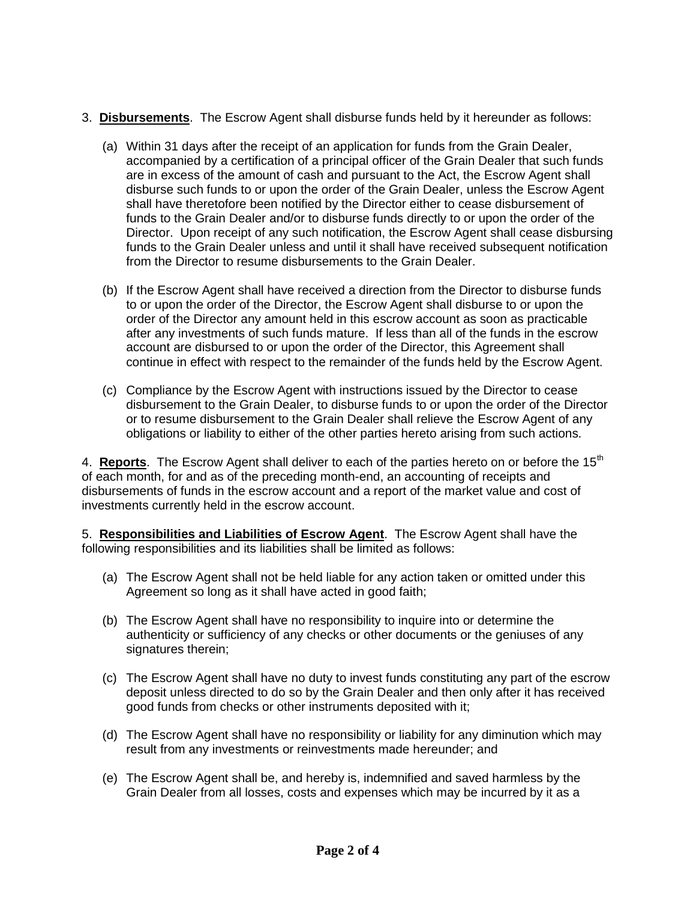## 3. **Disbursements**. The Escrow Agent shall disburse funds held by it hereunder as follows:

- (a) Within 31 days after the receipt of an application for funds from the Grain Dealer, accompanied by a certification of a principal officer of the Grain Dealer that such funds are in excess of the amount of cash and pursuant to the Act, the Escrow Agent shall disburse such funds to or upon the order of the Grain Dealer, unless the Escrow Agent shall have theretofore been notified by the Director either to cease disbursement of funds to the Grain Dealer and/or to disburse funds directly to or upon the order of the Director. Upon receipt of any such notification, the Escrow Agent shall cease disbursing funds to the Grain Dealer unless and until it shall have received subsequent notification from the Director to resume disbursements to the Grain Dealer.
- (b) If the Escrow Agent shall have received a direction from the Director to disburse funds to or upon the order of the Director, the Escrow Agent shall disburse to or upon the order of the Director any amount held in this escrow account as soon as practicable after any investments of such funds mature. If less than all of the funds in the escrow account are disbursed to or upon the order of the Director, this Agreement shall continue in effect with respect to the remainder of the funds held by the Escrow Agent.
- (c) Compliance by the Escrow Agent with instructions issued by the Director to cease disbursement to the Grain Dealer, to disburse funds to or upon the order of the Director or to resume disbursement to the Grain Dealer shall relieve the Escrow Agent of any obligations or liability to either of the other parties hereto arising from such actions.

4. **Reports**. The Escrow Agent shall deliver to each of the parties hereto on or before the 15<sup>th</sup> of each month, for and as of the preceding month-end, an accounting of receipts and disbursements of funds in the escrow account and a report of the market value and cost of investments currently held in the escrow account.

5. **Responsibilities and Liabilities of Escrow Agent**. The Escrow Agent shall have the following responsibilities and its liabilities shall be limited as follows:

- (a) The Escrow Agent shall not be held liable for any action taken or omitted under this Agreement so long as it shall have acted in good faith;
- (b) The Escrow Agent shall have no responsibility to inquire into or determine the authenticity or sufficiency of any checks or other documents or the geniuses of any signatures therein;
- (c) The Escrow Agent shall have no duty to invest funds constituting any part of the escrow deposit unless directed to do so by the Grain Dealer and then only after it has received good funds from checks or other instruments deposited with it;
- (d) The Escrow Agent shall have no responsibility or liability for any diminution which may result from any investments or reinvestments made hereunder; and
- (e) The Escrow Agent shall be, and hereby is, indemnified and saved harmless by the Grain Dealer from all losses, costs and expenses which may be incurred by it as a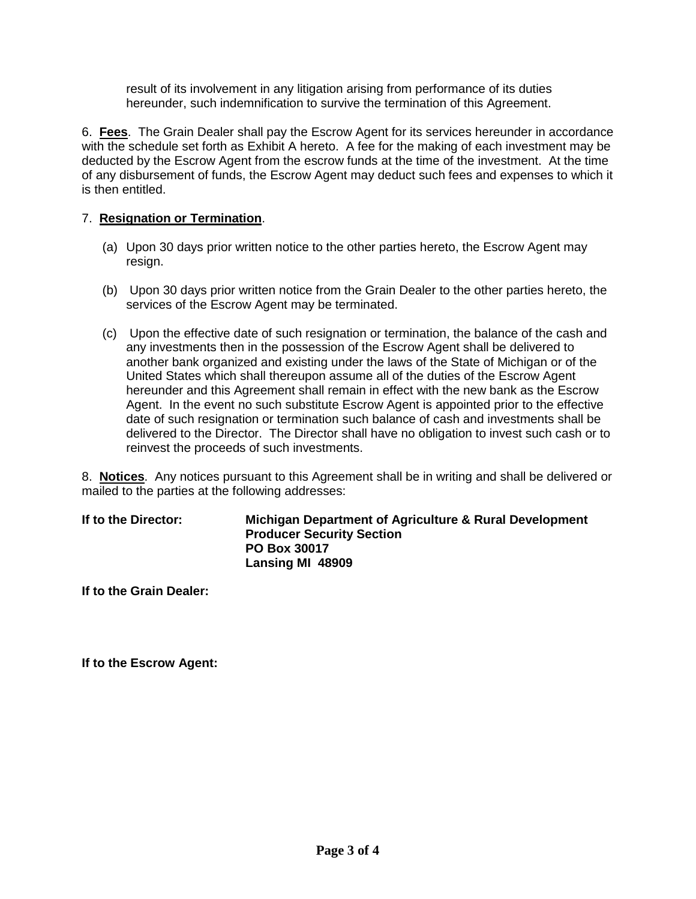result of its involvement in any litigation arising from performance of its duties hereunder, such indemnification to survive the termination of this Agreement.

6. **Fees**. The Grain Dealer shall pay the Escrow Agent for its services hereunder in accordance with the schedule set forth as Exhibit A hereto. A fee for the making of each investment may be deducted by the Escrow Agent from the escrow funds at the time of the investment. At the time of any disbursement of funds, the Escrow Agent may deduct such fees and expenses to which it is then entitled.

## 7. **Resignation or Termination**.

- (a) Upon 30 days prior written notice to the other parties hereto, the Escrow Agent may resign.
- (b) Upon 30 days prior written notice from the Grain Dealer to the other parties hereto, the services of the Escrow Agent may be terminated.
- (c) Upon the effective date of such resignation or termination, the balance of the cash and any investments then in the possession of the Escrow Agent shall be delivered to another bank organized and existing under the laws of the State of Michigan or of the United States which shall thereupon assume all of the duties of the Escrow Agent hereunder and this Agreement shall remain in effect with the new bank as the Escrow Agent. In the event no such substitute Escrow Agent is appointed prior to the effective date of such resignation or termination such balance of cash and investments shall be delivered to the Director. The Director shall have no obligation to invest such cash or to reinvest the proceeds of such investments.

8. **Notices**. Any notices pursuant to this Agreement shall be in writing and shall be delivered or mailed to the parties at the following addresses:

| If to the Director: | Michigan Department of Agriculture & Rural Development<br><b>Producer Security Section</b> |
|---------------------|--------------------------------------------------------------------------------------------|
|                     | <b>PO Box 30017</b>                                                                        |
|                     | Lansing MI 48909                                                                           |

**If to the Grain Dealer:** 

**If to the Escrow Agent:**